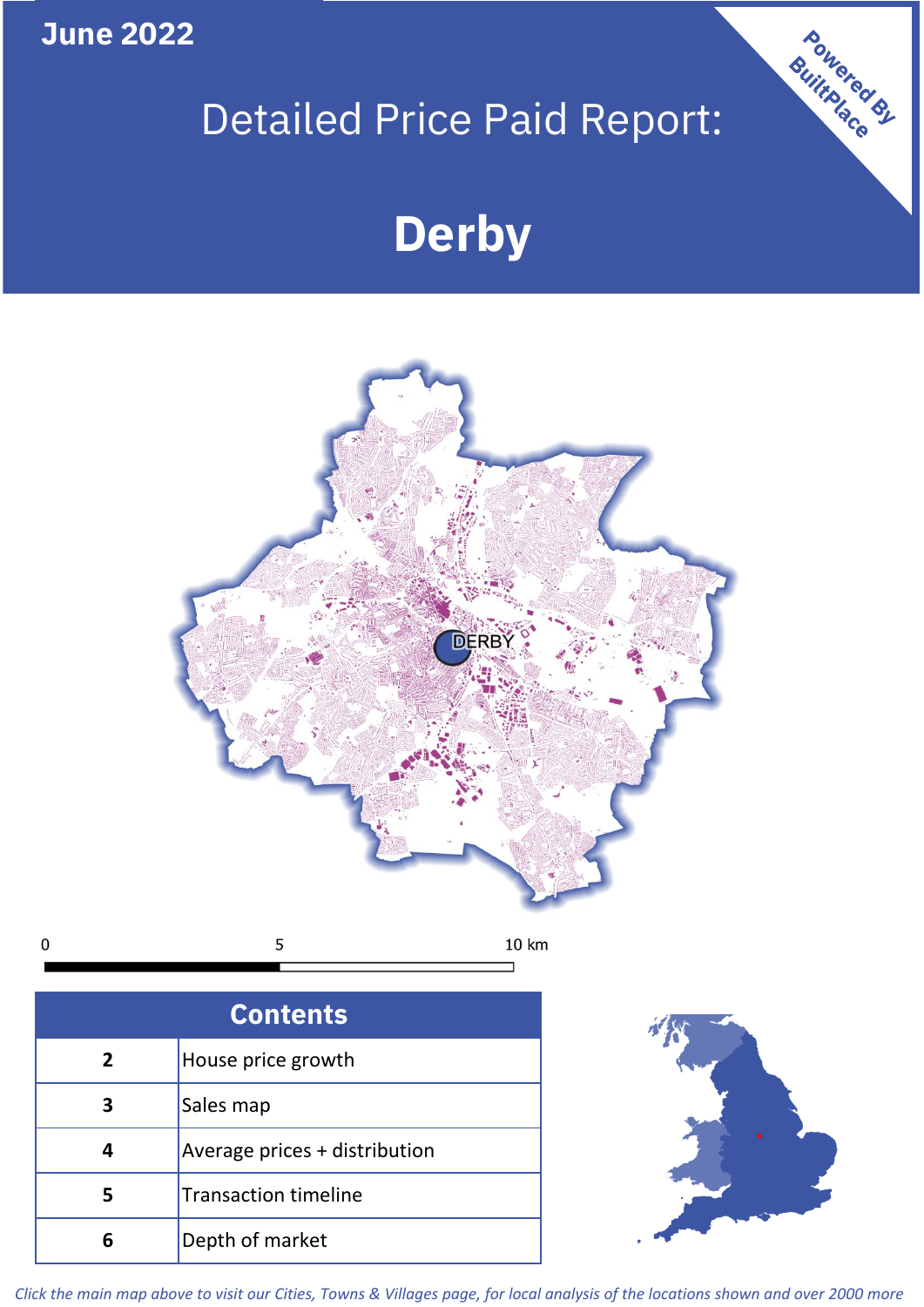**June 2022**

# Detailed Price Paid Report:

# **Derby**



5 10 km  $\mathbf 0$ 

**Contents 5 4 3 2** House price growth Sales map Average prices + distribution Transaction timeline **6** Depth of market



Powered By

*Click the main map above to visit our Cities, Towns & Villages page, for local analysis of the locations shown and over 2000 more*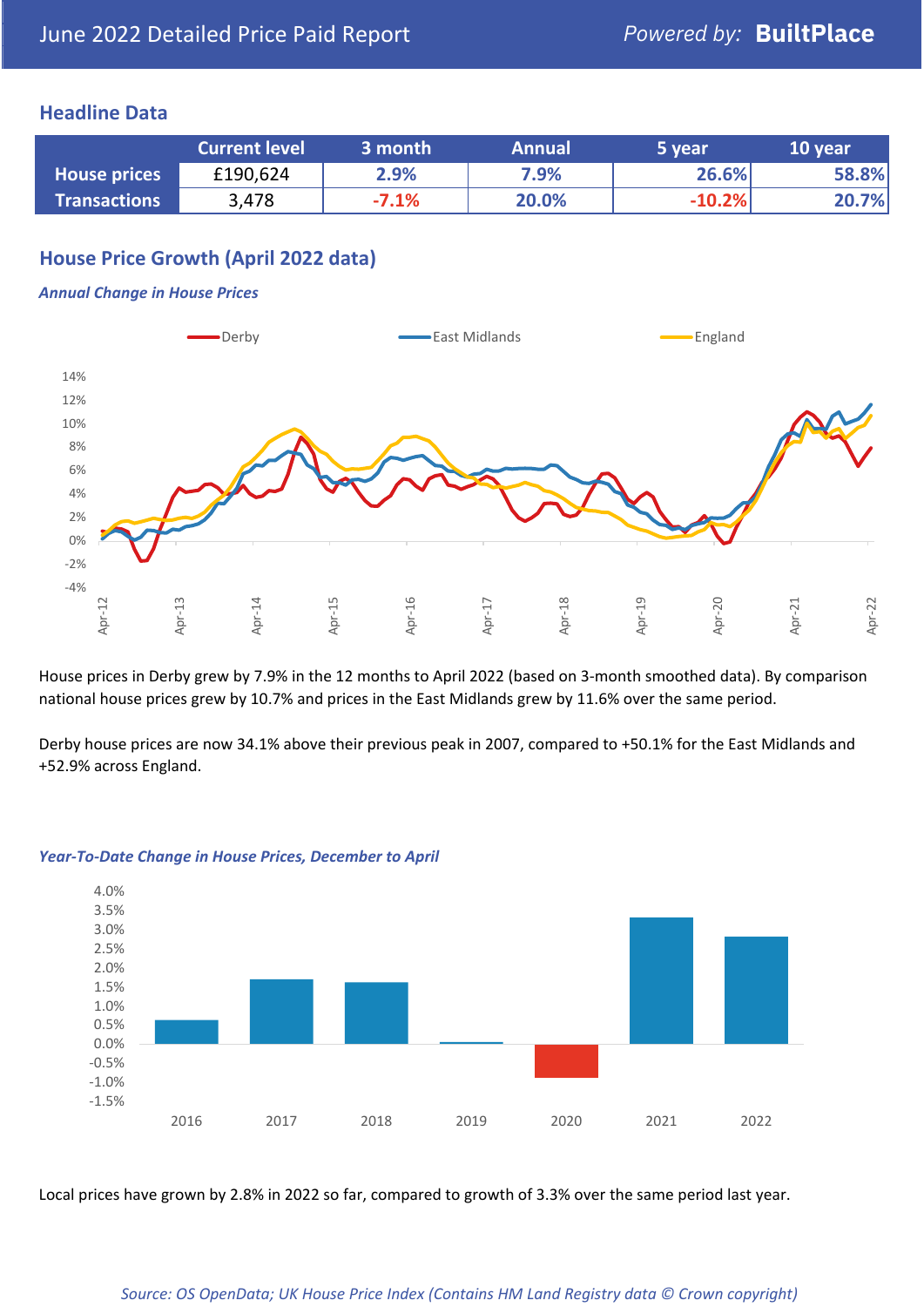#### **Headline Data**

|                     | <b>Current level</b> | 3 month | <b>Annual</b> | 5 year   | 10 year |
|---------------------|----------------------|---------|---------------|----------|---------|
| <b>House prices</b> | £190,624             | 2.9%    | 7.9%          | 26.6%    | 58.8%   |
| <b>Transactions</b> | 3,478                | $-7.1%$ | 20.0%         | $-10.2%$ | 20.7%   |

# **House Price Growth (April 2022 data)**

#### *Annual Change in House Prices*



House prices in Derby grew by 7.9% in the 12 months to April 2022 (based on 3-month smoothed data). By comparison national house prices grew by 10.7% and prices in the East Midlands grew by 11.6% over the same period.

Derby house prices are now 34.1% above their previous peak in 2007, compared to +50.1% for the East Midlands and +52.9% across England.



#### *Year-To-Date Change in House Prices, December to April*

Local prices have grown by 2.8% in 2022 so far, compared to growth of 3.3% over the same period last year.

#### *Source: OS OpenData; UK House Price Index (Contains HM Land Registry data © Crown copyright)*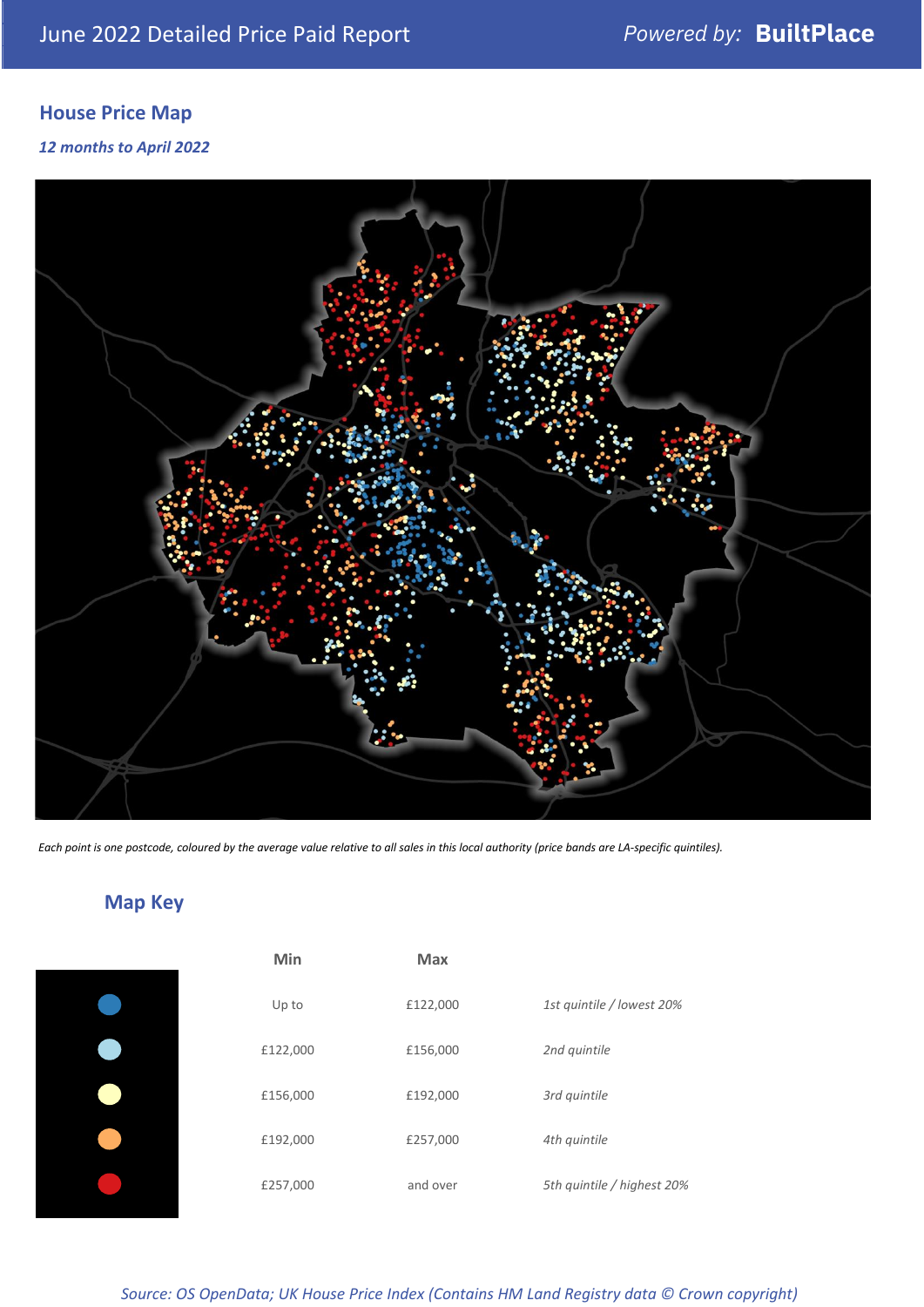# **House Price Map**

*12 months to April 2022*



*Each point is one postcode, coloured by the average value relative to all sales in this local authority (price bands are LA-specific quintiles).*

**Map Key**

| Min      | <b>Max</b> |                            |
|----------|------------|----------------------------|
| Up to    | £122,000   | 1st quintile / lowest 20%  |
| £122,000 | £156,000   | 2nd quintile               |
| £156,000 | £192,000   | 3rd quintile               |
| £192,000 | £257,000   | 4th quintile               |
| £257,000 | and over   | 5th quintile / highest 20% |

### *Source: OS OpenData; UK House Price Index (Contains HM Land Registry data © Crown copyright)*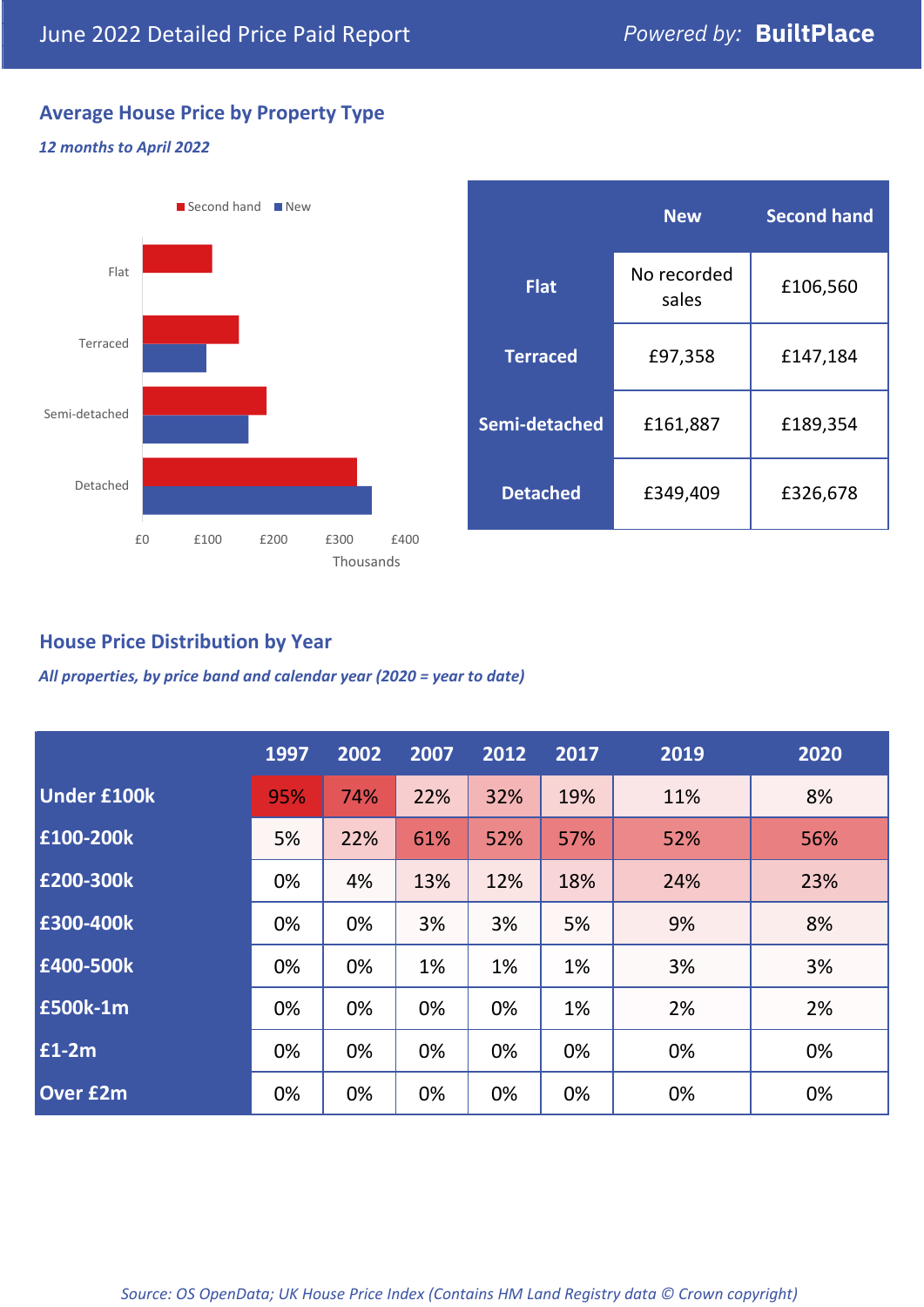# **Average House Price by Property Type**

#### *12 months to April 2022*



|                 | <b>New</b>           | <b>Second hand</b> |  |  |
|-----------------|----------------------|--------------------|--|--|
| <b>Flat</b>     | No recorded<br>sales | £106,560           |  |  |
| <b>Terraced</b> | £97,358              | £147,184           |  |  |
| Semi-detached   | £161,887             | £189,354           |  |  |
| <b>Detached</b> | £349,409             | £326,678           |  |  |

## **House Price Distribution by Year**

*All properties, by price band and calendar year (2020 = year to date)*

|                    | 1997 | 2002 | 2007 | 2012 | 2017 | 2019 | 2020 |
|--------------------|------|------|------|------|------|------|------|
| <b>Under £100k</b> | 95%  | 74%  | 22%  | 32%  | 19%  | 11%  | 8%   |
| £100-200k          | 5%   | 22%  | 61%  | 52%  | 57%  | 52%  | 56%  |
| £200-300k          | 0%   | 4%   | 13%  | 12%  | 18%  | 24%  | 23%  |
| E300-400k          | 0%   | 0%   | 3%   | 3%   | 5%   | 9%   | 8%   |
| £400-500k          | 0%   | 0%   | 1%   | 1%   | 1%   | 3%   | 3%   |
| <b>E500k-1m</b>    | 0%   | 0%   | 0%   | 0%   | 1%   | 2%   | 2%   |
| £1-2m              | 0%   | 0%   | 0%   | 0%   | 0%   | 0%   | 0%   |
| <b>Over £2m</b>    | 0%   | 0%   | 0%   | 0%   | 0%   | 0%   | 0%   |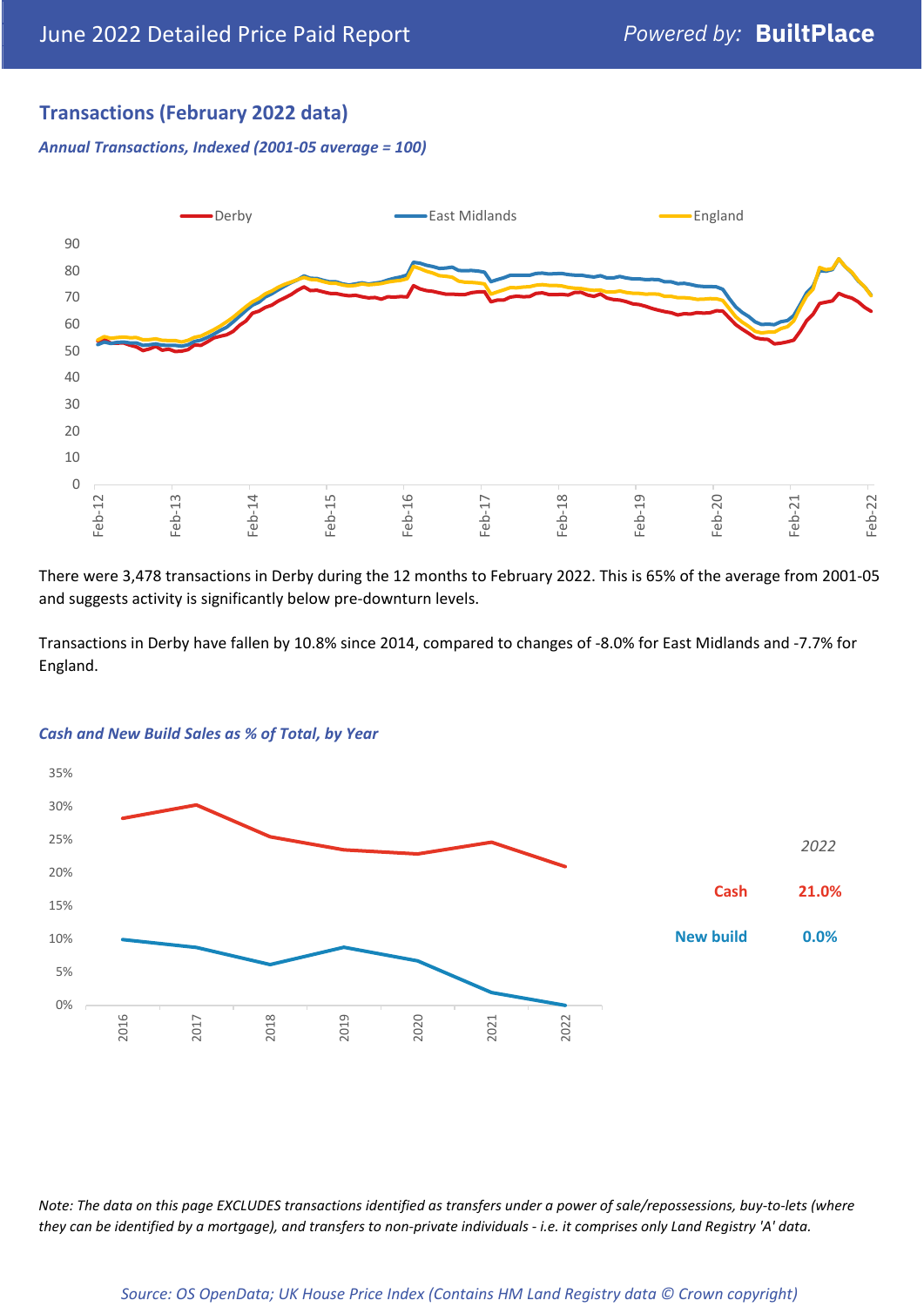# **Transactions (February 2022 data)**

*Annual Transactions, Indexed (2001-05 average = 100)*



There were 3,478 transactions in Derby during the 12 months to February 2022. This is 65% of the average from 2001-05 and suggests activity is significantly below pre-downturn levels.

Transactions in Derby have fallen by 10.8% since 2014, compared to changes of -8.0% for East Midlands and -7.7% for England.



#### *Cash and New Build Sales as % of Total, by Year*

*Note: The data on this page EXCLUDES transactions identified as transfers under a power of sale/repossessions, buy-to-lets (where they can be identified by a mortgage), and transfers to non-private individuals - i.e. it comprises only Land Registry 'A' data.*